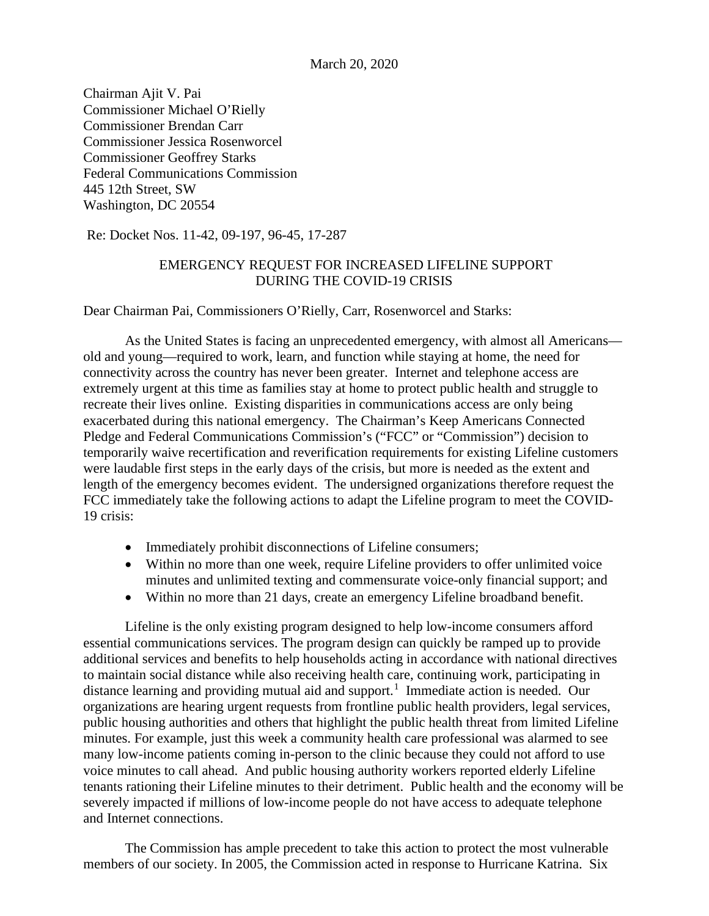Chairman Ajit V. Pai Commissioner Michael O'Rielly Commissioner Brendan Carr Commissioner Jessica Rosenworcel Commissioner Geoffrey Starks Federal Communications Commission 445 12th Street, SW Washington, DC 20554

Re: Docket Nos. 11-42, 09-197, 96-45, 17-287

## EMERGENCY REQUEST FOR INCREASED LIFELINE SUPPORT DURING THE COVID-19 CRISIS

Dear Chairman Pai, Commissioners O'Rielly, Carr, Rosenworcel and Starks:

As the United States is facing an unprecedented emergency, with almost all Americans old and young—required to work, learn, and function while staying at home, the need for connectivity across the country has never been greater. Internet and telephone access are extremely urgent at this time as families stay at home to protect public health and struggle to recreate their lives online. Existing disparities in communications access are only being exacerbated during this national emergency. The Chairman's Keep Americans Connected Pledge and Federal Communications Commission's ("FCC" or "Commission") decision to temporarily waive recertification and reverification requirements for existing Lifeline customers were laudable first steps in the early days of the crisis, but more is needed as the extent and length of the emergency becomes evident. The undersigned organizations therefore request the FCC immediately take the following actions to adapt the Lifeline program to meet the COVID-19 crisis:

- Immediately prohibit disconnections of Lifeline consumers;
- Within no more than one week, require Lifeline providers to offer unlimited voice minutes and unlimited texting and commensurate voice-only financial support; and
- Within no more than 21 days, create an emergency Lifeline broadband benefit.

Lifeline is the only existing program designed to help low-income consumers afford essential communications services. The program design can quickly be ramped up to provide additional services and benefits to help households acting in accordance with national directives to maintain social distance while also receiving health care, continuing work, participating in distance learning and providing mutual aid and support.<sup>[1](#page-2-0)</sup> Immediate action is needed. Our organizations are hearing urgent requests from frontline public health providers, legal services, public housing authorities and others that highlight the public health threat from limited Lifeline minutes. For example, just this week a community health care professional was alarmed to see many low-income patients coming in-person to the clinic because they could not afford to use voice minutes to call ahead. And public housing authority workers reported elderly Lifeline tenants rationing their Lifeline minutes to their detriment. Public health and the economy will be severely impacted if millions of low-income people do not have access to adequate telephone and Internet connections.

The Commission has ample precedent to take this action to protect the most vulnerable members of our society. In 2005, the Commission acted in response to Hurricane Katrina. Six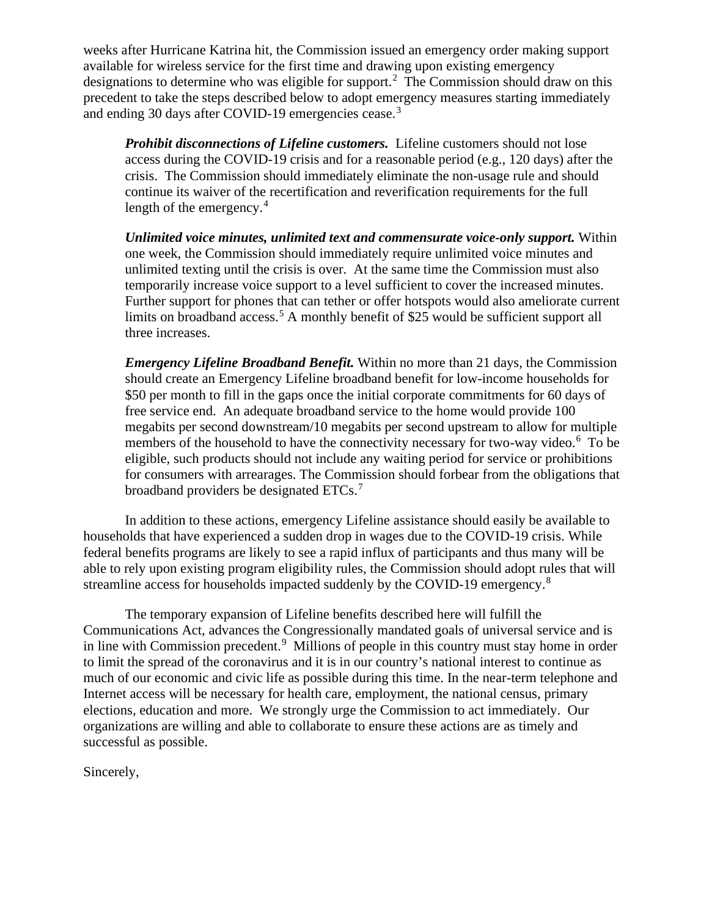weeks after Hurricane Katrina hit, the Commission issued an emergency order making support available for wireless service for the first time and drawing upon existing emergency designations to determine who was eligible for support.<sup>[2](#page-2-1)</sup> The Commission should draw on this precedent to take the steps described below to adopt emergency measures starting immediately and ending [3](#page-2-2)0 days after COVID-19 emergencies cease.<sup>3</sup>

*Prohibit disconnections of Lifeline customers.* Lifeline customers should not lose access during the COVID-19 crisis and for a reasonable period (e.g., 120 days) after the crisis. The Commission should immediately eliminate the non-usage rule and should continue its waiver of the recertification and reverification requirements for the full length of the emergency.<sup>[4](#page-2-3)</sup>

*Unlimited voice minutes, unlimited text and commensurate voice-only support.* Within one week, the Commission should immediately require unlimited voice minutes and unlimited texting until the crisis is over. At the same time the Commission must also temporarily increase voice support to a level sufficient to cover the increased minutes. Further support for phones that can tether or offer hotspots would also ameliorate current limits on broadband access.<sup>[5](#page-2-4)</sup> A monthly benefit of \$25 would be sufficient support all three increases.

*Emergency Lifeline Broadband Benefit.* Within no more than 21 days, the Commission should create an Emergency Lifeline broadband benefit for low-income households for \$50 per month to fill in the gaps once the initial corporate commitments for 60 days of free service end. An adequate broadband service to the home would provide 100 megabits per second downstream/10 megabits per second upstream to allow for multiple members of the household to have the connectivity necessary for two-way video.<sup>[6](#page-2-5)</sup> To be eligible, such products should not include any waiting period for service or prohibitions for consumers with arrearages. The Commission should forbear from the obligations that broadband providers be designated ETCs.<sup>[7](#page-2-6)</sup>

In addition to these actions, emergency Lifeline assistance should easily be available to households that have experienced a sudden drop in wages due to the COVID-19 crisis. While federal benefits programs are likely to see a rapid influx of participants and thus many will be able to rely upon existing program eligibility rules, the Commission should adopt rules that will streamline access for households impacted suddenly by the COVID-19 emergency.[8](#page-2-7)

The temporary expansion of Lifeline benefits described here will fulfill the Communications Act, advances the Congressionally mandated goals of universal service and is in line with Commission precedent.<sup>[9](#page-2-8)</sup> Millions of people in this country must stay home in order to limit the spread of the coronavirus and it is in our country's national interest to continue as much of our economic and civic life as possible during this time. In the near-term telephone and Internet access will be necessary for health care, employment, the national census, primary elections, education and more. We strongly urge the Commission to act immediately. Our organizations are willing and able to collaborate to ensure these actions are as timely and successful as possible.

Sincerely,